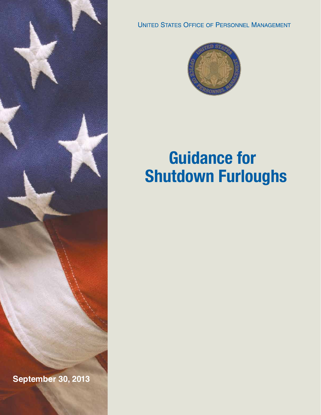

**September 30, 2013**

**UNITED STATES OFFICE OF PERSONNEL MANAGEMENT** 



# **Guidance for Shutdown Furloughs**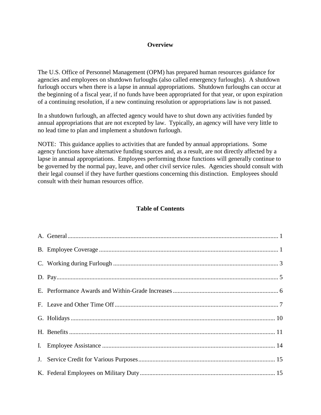# **Overview**

The U.S. Office of Personnel Management (OPM) has prepared human resources guidance for agencies and employees on shutdown furloughs (also called emergency furloughs). A shutdown furlough occurs when there is a lapse in annual appropriations. Shutdown furloughs can occur at the beginning of a fiscal year, if no funds have been appropriated for that year, or upon expiration of a continuing resolution, if a new continuing resolution or appropriations law is not passed.

In a shutdown furlough, an affected agency would have to shut down any activities funded by annual appropriations that are not excepted by law. Typically, an agency will have very little to no lead time to plan and implement a shutdown furlough.

NOTE: This guidance applies to activities that are funded by annual appropriations. Some agency functions have alternative funding sources and, as a result, are not directly affected by a lapse in annual appropriations. Employees performing those functions will generally continue to be governed by the normal pay, leave, and other civil service rules. Agencies should consult with their legal counsel if they have further questions concerning this distinction. Employees should consult with their human resources office.

## **Table of Contents**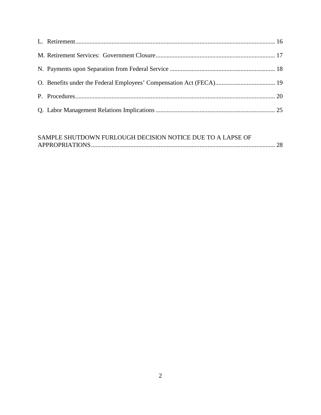# SAMPLE SHUTDOWN FURLOUGH DECISION NOTICE DUE TO A LAPSE OF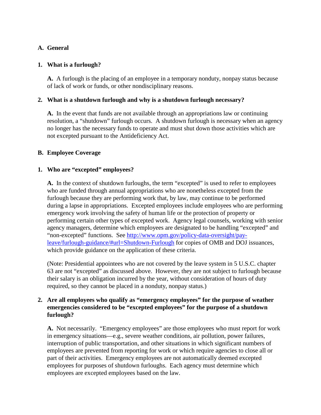# <span id="page-3-0"></span>**A. General**

# **1. What is a furlough?**

**A.** A furlough is the placing of an employee in a temporary nonduty, nonpay status because of lack of work or funds, or other nondisciplinary reasons.

# **2. What is a shutdown furlough and why is a shutdown furlough necessary?**

**A.** In the event that funds are not available through an appropriations law or continuing resolution, a "shutdown" furlough occurs. A shutdown furlough is necessary when an agency no longer has the necessary funds to operate and must shut down those activities which are not excepted pursuant to the Antideficiency Act.

# <span id="page-3-1"></span>**B. Employee Coverage**

# **1. Who are "excepted" employees?**

**A.** In the context of shutdown furloughs, the term "excepted" is used to refer to employees who are funded through annual appropriations who are nonetheless excepted from the furlough because they are performing work that, by law, may continue to be performed during a lapse in appropriations. Excepted employees include employees who are performing emergency work involving the safety of human life or the protection of property or performing certain other types of excepted work. Agency legal counsels, working with senior agency managers, determine which employees are designated to be handling "excepted" and "non-excepted" functions. See [http://www.opm.gov/policy-data-oversight/pay](http://www.opm.gov/policy-data-oversight/pay-leave/furlough-guidance/#url=Shutdown-Furlough)[leave/furlough-guidance/#url=Shutdown-Furlough](http://www.opm.gov/policy-data-oversight/pay-leave/furlough-guidance/#url=Shutdown-Furlough) for copies of OMB and DOJ issuances, which provide guidance on the application of these criteria.

(Note: Presidential appointees who are not covered by the leave system in 5 U.S.C. chapter 63 are not "excepted" as discussed above. However, they are not subject to furlough because their salary is an obligation incurred by the year, without consideration of hours of duty required, so they cannot be placed in a nonduty, nonpay status.)

# **2. Are all employees who qualify as "emergency employees" for the purpose of weather emergencies considered to be "excepted employees" for the purpose of a shutdown furlough?**

**A.** Not necessarily. "Emergency employees" are those employees who must report for work in emergency situations—e.g., severe weather conditions, air pollution, power failures, interruption of public transportation, and other situations in which significant numbers of employees are prevented from reporting for work or which require agencies to close all or part of their activities. Emergency employees are not automatically deemed excepted employees for purposes of shutdown furloughs. Each agency must determine which employees are excepted employees based on the law.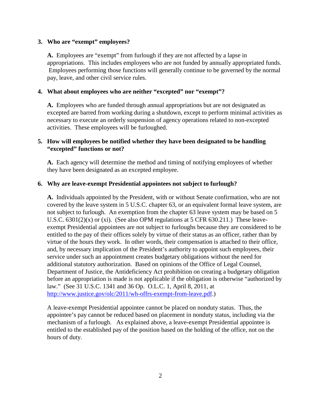#### **3. Who are "exempt" employees?**

**A.** Employees are "exempt" from furlough if they are not affected by a lapse in appropriations. This includes employees who are not funded by annually appropriated funds. Employees performing those functions will generally continue to be governed by the normal pay, leave, and other civil service rules.

## **4. What about employees who are neither "excepted" nor "exempt"?**

**A.** Employees who are funded through annual appropriations but are not designated as excepted are barred from working during a shutdown, except to perform minimal activities as necessary to execute an orderly suspension of agency operations related to non-excepted activities. These employees will be furloughed.

# **5. How will employees be notified whether they have been designated to be handling "excepted" functions or not?**

**A.** Each agency will determine the method and timing of notifying employees of whether they have been designated as an excepted employee.

#### **6. Why are leave-exempt Presidential appointees not subject to furlough?**

**A.** Individuals appointed by the President, with or without Senate confirmation, who are not covered by the leave system in 5 U.S.C. chapter 63, or an equivalent formal leave system, are not subject to furlough. An exemption from the chapter 63 leave system may be based on 5 U.S.C.  $6301(2)(x)$  or (xi). (See also OPM regulations at 5 CFR  $630.211$ .) These leaveexempt Presidential appointees are not subject to furloughs because they are considered to be entitled to the pay of their offices solely by virtue of their status as an officer, rather than by virtue of the hours they work. In other words, their compensation is attached to their office, and, by necessary implication of the President's authority to appoint such employees, their service under such an appointment creates budgetary obligations without the need for additional statutory authorization. Based on opinions of the Office of Legal Counsel, Department of Justice, the Antideficiency Act prohibition on creating a budgetary obligation before an appropriation is made is not applicable if the obligation is otherwise "authorized by law." (See 31 U.S.C. 1341 and 36 Op. O.L.C. 1, April 8, 2011, at [http://www.justice.gov/olc/2011/wh-offrs-exempt-from-leave.pdf.](http://www.justice.gov/olc/2011/wh-offrs-exempt-from-leave.pdf))

A leave-exempt Presidential appointee cannot be placed on nonduty status. Thus, the appointee's pay cannot be reduced based on placement in nonduty status, including via the mechanism of a furlough. As explained above, a leave-exempt Presidential appointee is entitled to the established pay of the position based on the holding of the office, not on the hours of duty.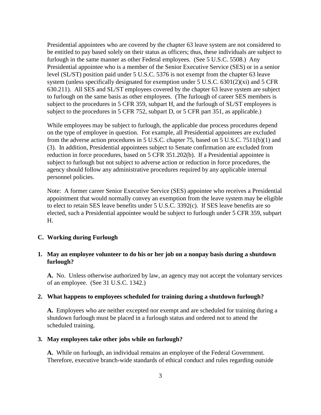Presidential appointees who are covered by the chapter 63 leave system are not considered to be entitled to pay based solely on their status as officers; thus, these individuals are subject to furlough in the same manner as other Federal employees. (See 5 U.S.C. 5508.) Any Presidential appointee who is a member of the Senior Executive Service (SES) or in a senior level (SL/ST) position paid under 5 U.S.C. 5376 is not exempt from the chapter 63 leave system (unless specifically designated for exemption under 5 U.S.C. 6301(2)(xi) and 5 CFR 630.211). All SES and SL/ST employees covered by the chapter 63 leave system are subject to furlough on the same basis as other employees. (The furlough of career SES members is subject to the procedures in 5 CFR 359, subpart H, and the furlough of SL/ST employees is subject to the procedures in 5 CFR 752, subpart D, or 5 CFR part 351, as applicable.)

While employees may be subject to furlough, the applicable due process procedures depend on the type of employee in question. For example, all Presidential appointees are excluded from the adverse action procedures in 5 U.S.C. chapter 75, based on 5 U.S.C. 7511(b)(1) and (3). In addition, Presidential appointees subject to Senate confirmation are excluded from reduction in force procedures, based on 5 CFR 351.202(b). If a Presidential appointee is subject to furlough but not subject to adverse action or reduction in force procedures, the agency should follow any administrative procedures required by any applicable internal personnel policies.

Note: A former career Senior Executive Service (SES) appointee who receives a Presidential appointment that would normally convey an exemption from the leave system may be eligible to elect to retain SES leave benefits under 5 U.S.C. 3392(c). If SES leave benefits are so elected, such a Presidential appointee would be subject to furlough under 5 CFR 359, subpart H.

#### <span id="page-5-0"></span>**C. Working during Furlough**

## **1. May an employee volunteer to do his or her job on a nonpay basis during a shutdown furlough?**

**A.** No. Unless otherwise authorized by law, an agency may not accept the voluntary services of an employee. (See 31 U.S.C. 1342.)

#### **2. What happens to employees scheduled for training during a shutdown furlough?**

**A.** Employees who are neither excepted nor exempt and are scheduled for training during a shutdown furlough must be placed in a furlough status and ordered not to attend the scheduled training.

#### **3. May employees take other jobs while on furlough?**

**A.** While on furlough, an individual remains an employee of the Federal Government. Therefore, executive branch-wide standards of ethical conduct and rules regarding outside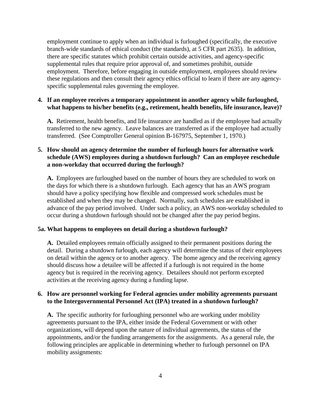employment continue to apply when an individual is furloughed (specifically, the executive branch-wide standards of ethical conduct (the standards), at 5 CFR part 2635). In addition, there are specific statutes which prohibit certain outside activities, and agency-specific supplemental rules that require prior approval of, and sometimes prohibit, outside employment. Therefore, before engaging in outside employment, employees should review these regulations and then consult their agency ethics official to learn if there are any agencyspecific supplemental rules governing the employee.

#### **4. If an employee receives a temporary appointment in another agency while furloughed, what happens to his/her benefits (e.g., retirement, health benefits, life insurance, leave)?**

**A.** Retirement, health benefits, and life insurance are handled as if the employee had actually transferred to the new agency. Leave balances are transferred as if the employee had actually transferred. (See Comptroller General opinion B-167975, September 1, 1970.)

# **5. How should an agency determine the number of furlough hours for alternative work schedule (AWS) employees during a shutdown furlough? Can an employee reschedule a non-workday that occurred during the furlough?**

**A.** Employees are furloughed based on the number of hours they are scheduled to work on the days for which there is a shutdown furlough. Each agency that has an AWS program should have a policy specifying how flexible and compressed work schedules must be established and when they may be changed. Normally, such schedules are established in advance of the pay period involved. Under such a policy, an AWS non-workday scheduled to occur during a shutdown furlough should not be changed after the pay period begins.

#### **5a. What happens to employees on detail during a shutdown furlough?**

**A.** Detailed employees remain officially assigned to their permanent positions during the detail. During a shutdown furlough, each agency will determine the status of their employees on detail within the agency or to another agency. The home agency and the receiving agency should discuss how a detailee will be affected if a furlough is not required in the home agency but is required in the receiving agency. Detailees should not perform excepted activities at the receiving agency during a funding lapse.

# **6. How are personnel working for Federal agencies under mobility agreements pursuant to the Intergovernmental Personnel Act (IPA) treated in a shutdown furlough?**

**A.** The specific authority for furloughing personnel who are working under mobility agreements pursuant to the IPA, either inside the Federal Government or with other organizations, will depend upon the nature of individual agreements, the status of the appointments, and/or the funding arrangements for the assignments. As a general rule, the following principles are applicable in determining whether to furlough personnel on IPA mobility assignments: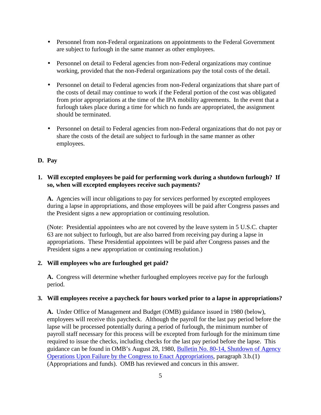- Personnel from non-Federal organizations on appointments to the Federal Government  $\mathcal{L}^{\pm}$ are subject to furlough in the same manner as other employees.
- Personnel on detail to Federal agencies from non-Federal organizations may continue  $\mathcal{L}^{\pm}$ working, provided that the non-Federal organizations pay the total costs of the detail.
- $\mathbf{r}$ Personnel on detail to Federal agencies from non-Federal organizations that share part of the costs of detail may continue to work if the Federal portion of the cost was obligated from prior appropriations at the time of the IPA mobility agreements. In the event that a furlough takes place during a time for which no funds are appropriated, the assignment should be terminated.
- Personnel on detail to Federal agencies from non-Federal organizations that do not pay or share the costs of the detail are subject to furlough in the same manner as other employees.

## <span id="page-7-0"></span>**D. Pay**

# **1. Will excepted employees be paid for performing work during a shutdown furlough? If so, when will excepted employees receive such payments?**

**A.** Agencies will incur obligations to pay for services performed by excepted employees during a lapse in appropriations, and those employees will be paid after Congress passes and the President signs a new appropriation or continuing resolution.

(Note: Presidential appointees who are not covered by the leave system in 5 U.S.C. chapter 63 are not subject to furlough, but are also barred from receiving pay during a lapse in appropriations. These Presidential appointees will be paid after Congress passes and the President signs a new appropriation or continuing resolution.)

#### **2. Will employees who are furloughed get paid?**

**A.** Congress will determine whether furloughed employees receive pay for the furlough period.

#### **3. Will employees receive a paycheck for hours worked prior to a lapse in appropriations?**

**A.** Under Office of Management and Budget (OMB) guidance issued in 1980 (below), employees will receive this paycheck. Although the payroll for the last pay period before the lapse will be processed potentially during a period of furlough, the minimum number of payroll staff necessary for this process will be excepted from furlough for the minimum time required to issue the checks, including checks for the last pay period before the lapse. This guidance can be found in OMB's August 28, 1980, [Bulletin No. 80-14, Shutdown of Agency](http://www.opm.gov/policy-data-oversight/pay-leave/furlough-guidance/attachment_a-5.pdf)  [Operations Upon Failure by the Congress to Enact Appropriations,](http://www.opm.gov/policy-data-oversight/pay-leave/furlough-guidance/attachment_a-5.pdf) paragraph 3.b.(1) (Appropriations and funds). OMB has reviewed and concurs in this answer.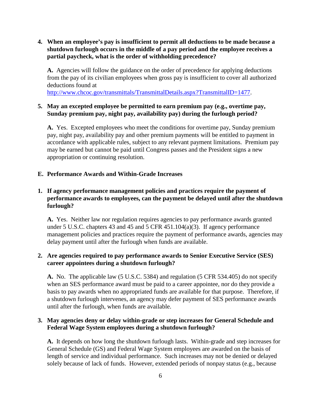# **4. When an employee's pay is insufficient to permit all deductions to be made because a shutdown furlough occurs in the middle of a pay period and the employee receives a partial paycheck, what is the order of withholding precedence?**

**A.** Agencies will follow the guidance on the order of precedence for applying deductions from the pay of its civilian employees when gross pay is insufficient to cover all authorized deductions found at

[http://www.chcoc.gov/transmittals/TransmittalDetails.aspx?TransmittalID=1477.](http://www.chcoc.gov/transmittals/TransmittalDetails.aspx?TransmittalID=1477)

# **5. May an excepted employee be permitted to earn premium pay (e.g., overtime pay, Sunday premium pay, night pay, availability pay) during the furlough period?**

**A.** Yes. Excepted employees who meet the conditions for overtime pay, Sunday premium pay, night pay, availability pay and other premium payments will be entitled to payment in accordance with applicable rules, subject to any relevant payment limitations. Premium pay may be earned but cannot be paid until Congress passes and the President signs a new appropriation or continuing resolution.

## <span id="page-8-0"></span>**E. Performance Awards and Within-Grade Increases**

# **1. If agency performance management policies and practices require the payment of performance awards to employees, can the payment be delayed until after the shutdown furlough?**

**A.** Yes. Neither law nor regulation requires agencies to pay performance awards granted under 5 U.S.C. chapters 43 and 45 and 5 CFR 451.104(a)(3). If agency performance management policies and practices require the payment of performance awards, agencies may delay payment until after the furlough when funds are available.

# **2. Are agencies required to pay performance awards to Senior Executive Service (SES) career appointees during a shutdown furlough?**

**A.** No. The applicable law (5 U.S.C. 5384) and regulation (5 CFR 534.405) do not specify when an SES performance award must be paid to a career appointee, nor do they provide a basis to pay awards when no appropriated funds are available for that purpose. Therefore, if a shutdown furlough intervenes, an agency may defer payment of SES performance awards until after the furlough, when funds are available.

# **3. May agencies deny or delay within-grade or step increases for General Schedule and Federal Wage System employees during a shutdown furlough?**

**A.** It depends on how long the shutdown furlough lasts. Within-grade and step increases for General Schedule (GS) and Federal Wage System employees are awarded on the basis of length of service and individual performance. Such increases may not be denied or delayed solely because of lack of funds. However, extended periods of nonpay status (e.g., because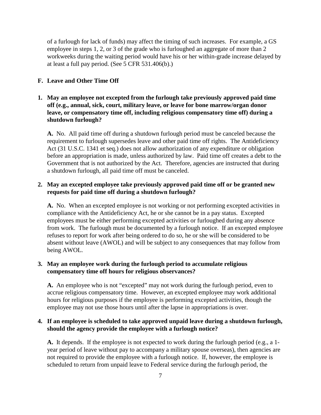of a furlough for lack of funds) may affect the timing of such increases. For example, a GS employee in steps 1, 2, or 3 of the grade who is furloughed an aggregate of more than 2 workweeks during the waiting period would have his or her within-grade increase delayed by at least a full pay period. (See 5 CFR 531.406(b).)

## <span id="page-9-0"></span>**F. Leave and Other Time Off**

# **1. May an employee not excepted from the furlough take previously approved paid time off (e.g., annual, sick, court, military leave, or leave for bone marrow/organ donor leave, or compensatory time off, including religious compensatory time off) during a shutdown furlough?**

**A.** No. All paid time off during a shutdown furlough period must be canceled because the requirement to furlough supersedes leave and other paid time off rights. The Antideficiency Act (31 U.S.C. 1341 et seq.) does not allow authorization of any expenditure or obligation before an appropriation is made, unless authorized by law. Paid time off creates a debt to the Government that is not authorized by the Act. Therefore, agencies are instructed that during a shutdown furlough, all paid time off must be canceled.

# **2. May an excepted employee take previously approved paid time off or be granted new requests for paid time off during a shutdown furlough?**

**A.** No. When an excepted employee is not working or not performing excepted activities in compliance with the Antideficiency Act, he or she cannot be in a pay status. Excepted employees must be either performing excepted activities or furloughed during any absence from work. The furlough must be documented by a furlough notice. If an excepted employee refuses to report for work after being ordered to do so, he or she will be considered to be absent without leave (AWOL) and will be subject to any consequences that may follow from being AWOL.

## **3. May an employee work during the furlough period to accumulate religious compensatory time off hours for religious observances?**

**A.** An employee who is not "excepted" may not work during the furlough period, even to accrue religious compensatory time. However, an excepted employee may work additional hours for religious purposes if the employee is performing excepted activities, though the employee may not use those hours until after the lapse in appropriations is over.

## **4. If an employee is scheduled to take approved unpaid leave during a shutdown furlough, should the agency provide the employee with a furlough notice?**

**A.** It depends. If the employee is not expected to work during the furlough period (e.g., a 1 year period of leave without pay to accompany a military spouse overseas), then agencies are not required to provide the employee with a furlough notice. If, however, the employee is scheduled to return from unpaid leave to Federal service during the furlough period, the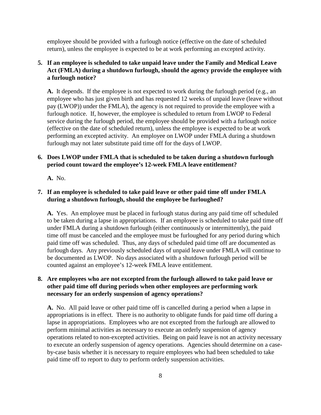employee should be provided with a furlough notice (effective on the date of scheduled return), unless the employee is expected to be at work performing an excepted activity.

# **5. If an employee is scheduled to take unpaid leave under the Family and Medical Leave Act (FMLA) during a shutdown furlough, should the agency provide the employee with a furlough notice?**

**A.** It depends. If the employee is not expected to work during the furlough period (e.g., an employee who has just given birth and has requested 12 weeks of unpaid leave (leave without pay (LWOP)) under the FMLA), the agency is not required to provide the employee with a furlough notice. If, however, the employee is scheduled to return from LWOP to Federal service during the furlough period, the employee should be provided with a furlough notice (effective on the date of scheduled return), unless the employee is expected to be at work performing an excepted activity. An employee on LWOP under FMLA during a shutdown furlough may not later substitute paid time off for the days of LWOP.

# **6. Does LWOP under FMLA that is scheduled to be taken during a shutdown furlough period count toward the employee's 12-week FMLA leave entitlement?**

**A.** No.

# **7. If an employee is scheduled to take paid leave or other paid time off under FMLA during a shutdown furlough, should the employee be furloughed?**

**A.** Yes. An employee must be placed in furlough status during any paid time off scheduled to be taken during a lapse in appropriations. If an employee is scheduled to take paid time off under FMLA during a shutdown furlough (either continuously or intermittently), the paid time off must be canceled and the employee must be furloughed for any period during which paid time off was scheduled. Thus, any days of scheduled paid time off are documented as furlough days. Any previously scheduled days of unpaid leave under FMLA will continue to be documented as LWOP. No days associated with a shutdown furlough period will be counted against an employee's 12-week FMLA leave entitlement.

# **8. Are employees who are not excepted from the furlough allowed to take paid leave or other paid time off during periods when other employees are performing work necessary for an orderly suspension of agency operations?**

**A.** No. All paid leave or other paid time off is cancelled during a period when a lapse in appropriations is in effect. There is no authority to obligate funds for paid time off during a lapse in appropriations. Employees who are not excepted from the furlough are allowed to perform minimal activities as necessary to execute an orderly suspension of agency operations related to non-excepted activities. Being on paid leave is not an activity necessary to execute an orderly suspension of agency operations. Agencies should determine on a caseby-case basis whether it is necessary to require employees who had been scheduled to take paid time off to report to duty to perform orderly suspension activities.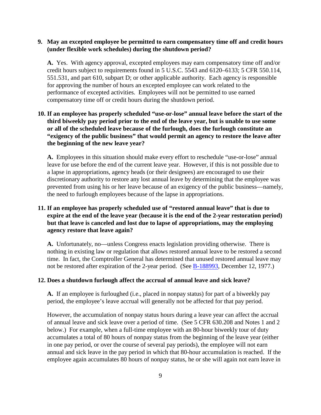## **9. May an excepted employee be permitted to earn compensatory time off and credit hours (under flexible work schedules) during the shutdown period?**

**A.** Yes. With agency approval, excepted employees may earn compensatory time off and/or credit hours subject to requirements found in 5 U.S.C. 5543 and 6120–6133; 5 CFR 550.114, 551.531, and part 610, subpart D; or other applicable authority. Each agency is responsible for approving the number of hours an excepted employee can work related to the performance of excepted activities. Employees will not be permitted to use earned compensatory time off or credit hours during the shutdown period.

# **10. If an employee has properly scheduled "use-or-lose" annual leave before the start of the third biweekly pay period prior to the end of the leave year, but is unable to use some or all of the scheduled leave because of the furlough, does the furlough constitute an "exigency of the public business" that would permit an agency to restore the leave after the beginning of the new leave year?**

**A.** Employees in this situation should make every effort to reschedule "use-or-lose" annual leave for use before the end of the current leave year. However, if this is not possible due to a lapse in appropriations, agency heads (or their designees) are encouraged to use their discretionary authority to restore any lost annual leave by determining that the employee was prevented from using his or her leave because of an exigency of the public business—namely, the need to furlough employees because of the lapse in appropriations.

# **11. If an employee has properly scheduled use of "restored annual leave" that is due to expire at the end of the leave year (because it is the end of the 2-year restoration period) but that leave is canceled and lost due to lapse of appropriations, may the employing agency restore that leave again?**

**A.** Unfortunately, no—unless Congress enacts legislation providing otherwise. There is nothing in existing law or regulation that allows restored annual leave to be restored a second time. In fact, the Comptroller General has determined that unused restored annual leave may not be restored after expiration of the 2-year period. (See [B-188993,](http://redbook.gao.gov/16/fl0079882.php) December 12, 1977.)

#### **12. Does a shutdown furlough affect the accrual of annual leave and sick leave?**

**A.** If an employee is furloughed (i.e., placed in nonpay status) for part of a biweekly pay period, the employee's leave accrual will generally not be affected for that pay period.

However, the accumulation of nonpay status hours during a leave year can affect the accrual of annual leave and sick leave over a period of time. (See 5 CFR 630.208 and Notes 1 and 2 below.) For example, when a full-time employee with an 80-hour biweekly tour of duty accumulates a total of 80 hours of nonpay status from the beginning of the leave year (either in one pay period, or over the course of several pay periods), the employee will not earn annual and sick leave in the pay period in which that 80-hour accumulation is reached. If the employee again accumulates 80 hours of nonpay status, he or she will again not earn leave in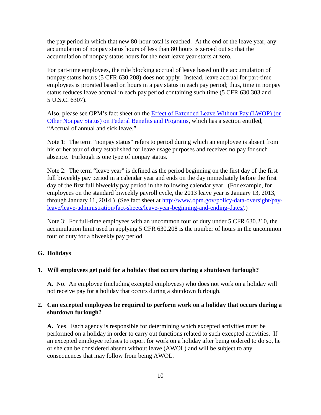the pay period in which that new 80-hour total is reached. At the end of the leave year, any accumulation of nonpay status hours of less than 80 hours is zeroed out so that the accumulation of nonpay status hours for the next leave year starts at zero.

For part-time employees, the rule blocking accrual of leave based on the accumulation of nonpay status hours (5 CFR 630.208) does not apply. Instead, leave accrual for part-time employees is prorated based on hours in a pay status in each pay period; thus, time in nonpay status reduces leave accrual in each pay period containing such time (5 CFR 630.303 and 5 U.S.C. 6307).

Also, please see OPM's fact sheet on the [Effect of Extended Leave Without Pay \(LWOP\) \(or](http://www.opm.gov/policy-data-oversight/pay-leave/leave-administration/fact-sheets/effect-of-extended-leave-without-pay-lwop-or-other-nonpay-status-on-federal-benefits-and-programs/)  [Other Nonpay Status\) on Federal Benefits and Programs,](http://www.opm.gov/policy-data-oversight/pay-leave/leave-administration/fact-sheets/effect-of-extended-leave-without-pay-lwop-or-other-nonpay-status-on-federal-benefits-and-programs/) which has a section entitled, "Accrual of annual and sick leave."

Note 1: The term "nonpay status" refers to period during which an employee is absent from his or her tour of duty established for leave usage purposes and receives no pay for such absence. Furlough is one type of nonpay status.

Note 2: The term "leave year" is defined as the period beginning on the first day of the first full biweekly pay period in a calendar year and ends on the day immediately before the first day of the first full biweekly pay period in the following calendar year. (For example, for employees on the standard biweekly payroll cycle, the 2013 leave year is January 13, 2013, through January 11, 2014.) (See fact sheet at [http://www.opm.gov/policy-data-oversight/pay](http://www.opm.gov/policy-data-oversight/pay-leave/leave-administration/fact-sheets/leave-year-beginning-and-ending-dates/)[leave/leave-administration/fact-sheets/leave-year-beginning-and-ending-dates/.](http://www.opm.gov/policy-data-oversight/pay-leave/leave-administration/fact-sheets/leave-year-beginning-and-ending-dates/))

Note 3: For full-time employees with an uncommon tour of duty under 5 CFR 630.210, the accumulation limit used in applying 5 CFR 630.208 is the number of hours in the uncommon tour of duty for a biweekly pay period.

#### <span id="page-12-0"></span>**G. Holidays**

#### **1. Will employees get paid for a holiday that occurs during a shutdown furlough?**

**A.** No. An employee (including excepted employees) who does not work on a holiday will not receive pay for a holiday that occurs during a shutdown furlough.

## **2. Can excepted employees be required to perform work on a holiday that occurs during a shutdown furlough?**

**A.** Yes. Each agency is responsible for determining which excepted activities must be performed on a holiday in order to carry out functions related to such excepted activities. If an excepted employee refuses to report for work on a holiday after being ordered to do so, he or she can be considered absent without leave (AWOL) and will be subject to any consequences that may follow from being AWOL.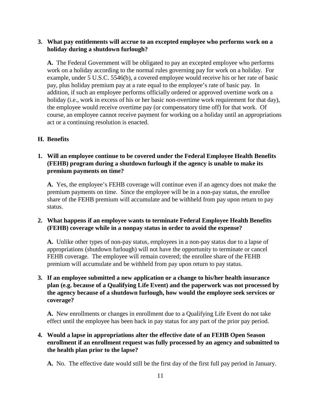## **3. What pay entitlements will accrue to an excepted employee who performs work on a holiday during a shutdown furlough?**

**A.** The Federal Government will be obligated to pay an excepted employee who performs work on a holiday according to the normal rules governing pay for work on a holiday. For example, under 5 U.S.C. 5546(b), a covered employee would receive his or her rate of basic pay, plus holiday premium pay at a rate equal to the employee's rate of basic pay. In addition, if such an employee performs officially ordered or approved overtime work on a holiday (i.e., work in excess of his or her basic non-overtime work requirement for that day), the employee would receive overtime pay (or compensatory time off) for that work. Of course, an employee cannot receive payment for working on a holiday until an appropriations act or a continuing resolution is enacted.

#### <span id="page-13-0"></span>**H. Benefits**

# **1. Will an employee continue to be covered under the Federal Employee Health Benefits (FEHB) program during a shutdown furlough if the agency is unable to make its premium payments on time?**

**A.** Yes, the employee's FEHB coverage will continue even if an agency does not make the premium payments on time. Since the employee will be in a non-pay status, the enrollee share of the FEHB premium will accumulate and be withheld from pay upon return to pay status.

#### **2. What happens if an employee wants to terminate Federal Employee Health Benefits (FEHB) coverage while in a nonpay status in order to avoid the expense?**

**A.** Unlike other types of non-pay status, employees in a non-pay status due to a lapse of appropriations (shutdown furlough) will not have the opportunity to terminate or cancel FEHB coverage. The employee will remain covered; the enrollee share of the FEHB premium will accumulate and be withheld from pay upon return to pay status.

# **3. If an employee submitted a new application or a change to his/her health insurance plan (e.g. because of a Qualifying Life Event) and the paperwork was not processed by the agency because of a shutdown furlough, how would the employee seek services or coverage?**

**A.** New enrollments or changes in enrollment due to a Qualifying Life Event do not take effect until the employee has been back in pay status for any part of the prior pay period.

# **4. Would a lapse in appropriations alter the effective date of an FEHB Open Season enrollment if an enrollment request was fully processed by an agency and submitted to the health plan prior to the lapse?**

**A.** No. The effective date would still be the first day of the first full pay period in January.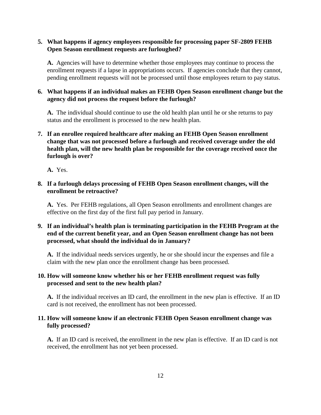# **5. What happens if agency employees responsible for processing paper SF-2809 FEHB Open Season enrollment requests are furloughed?**

**A.** Agencies will have to determine whether those employees may continue to process the enrollment requests if a lapse in appropriations occurs. If agencies conclude that they cannot, pending enrollment requests will not be processed until those employees return to pay status.

# **6. What happens if an individual makes an FEHB Open Season enrollment change but the agency did not process the request before the furlough?**

**A.** The individual should continue to use the old health plan until he or she returns to pay status and the enrollment is processed to the new health plan.

# **7. If an enrollee required healthcare after making an FEHB Open Season enrollment change that was not processed before a furlough and received coverage under the old health plan, will the new health plan be responsible for the coverage received once the furlough is over?**

**A.** Yes.

# **8. If a furlough delays processing of FEHB Open Season enrollment changes, will the enrollment be retroactive?**

**A.** Yes. Per FEHB regulations, all Open Season enrollments and enrollment changes are effective on the first day of the first full pay period in January.

# **9. If an individual's health plan is terminating participation in the FEHB Program at the end of the current benefit year, and an Open Season enrollment change has not been processed, what should the individual do in January?**

**A.** If the individual needs services urgently, he or she should incur the expenses and file a claim with the new plan once the enrollment change has been processed.

# **10. How will someone know whether his or her FEHB enrollment request was fully processed and sent to the new health plan?**

**A.** If the individual receives an ID card, the enrollment in the new plan is effective. If an ID card is not received, the enrollment has not been processed.

# **11. How will someone know if an electronic FEHB Open Season enrollment change was fully processed?**

**A.** If an ID card is received, the enrollment in the new plan is effective. If an ID card is not received, the enrollment has not yet been processed.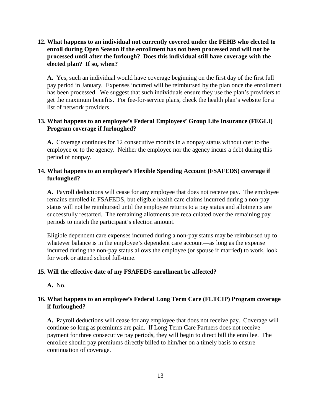**12. What happens to an individual not currently covered under the FEHB who elected to enroll during Open Season if the enrollment has not been processed and will not be processed until after the furlough? Does this individual still have coverage with the elected plan? If so, when?**

**A.** Yes, such an individual would have coverage beginning on the first day of the first full pay period in January. Expenses incurred will be reimbursed by the plan once the enrollment has been processed. We suggest that such individuals ensure they use the plan's providers to get the maximum benefits. For fee-for-service plans, check the health plan's website for a list of network providers.

## **13. What happens to an employee's Federal Employees' Group Life Insurance (FEGLI) Program coverage if furloughed?**

**A.** Coverage continues for 12 consecutive months in a nonpay status without cost to the employee or to the agency. Neither the employee nor the agency incurs a debt during this period of nonpay.

# **14. What happens to an employee's Flexible Spending Account (FSAFEDS) coverage if furloughed?**

**A.** Payroll deductions will cease for any employee that does not receive pay. The employee remains enrolled in FSAFEDS, but eligible health care claims incurred during a non-pay status will not be reimbursed until the employee returns to a pay status and allotments are successfully restarted. The remaining allotments are recalculated over the remaining pay periods to match the participant's election amount.

Eligible dependent care expenses incurred during a non-pay status may be reimbursed up to whatever balance is in the employee's dependent care account—as long as the expense incurred during the non-pay status allows the employee (or spouse if married) to work, look for work or attend school full-time.

#### **15. Will the effective date of my FSAFEDS enrollment be affected?**

**A.** No.

# **16. What happens to an employee's Federal Long Term Care (FLTCIP) Program coverage if furloughed?**

**A.** Payroll deductions will cease for any employee that does not receive pay. Coverage will continue so long as premiums are paid. If Long Term Care Partners does not receive payment for three consecutive pay periods, they will begin to direct bill the enrollee. The enrollee should pay premiums directly billed to him/her on a timely basis to ensure continuation of coverage.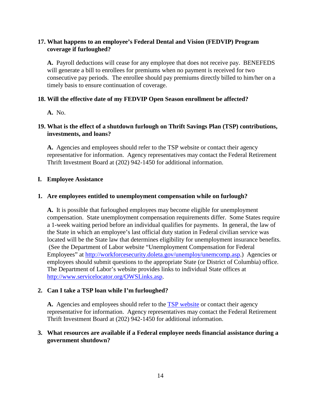# **17. What happens to an employee's Federal Dental and Vision (FEDVIP) Program coverage if furloughed?**

**A.** Payroll deductions will cease for any employee that does not receive pay. BENEFEDS will generate a bill to enrollees for premiums when no payment is received for two consecutive pay periods. The enrollee should pay premiums directly billed to him/her on a timely basis to ensure continuation of coverage.

## **18. Will the effective date of my FEDVIP Open Season enrollment be affected?**

**A.** No.

# **19. What is the effect of a shutdown furlough on Thrift Savings Plan (TSP) contributions, investments, and loans?**

**A.** Agencies and employees should refer to the TSP website or contact their agency representative for information. Agency representatives may contact the Federal Retirement Thrift Investment Board at (202) 942-1450 for additional information.

## <span id="page-16-0"></span>**I. Employee Assistance**

# **1. Are employees entitled to unemployment compensation while on furlough?**

**A.** It is possible that furloughed employees may become eligible for unemployment compensation. State unemployment compensation requirements differ. Some States require a 1-week waiting period before an individual qualifies for payments. In general, the law of the State in which an employee's last official duty station in Federal civilian service was located will be the State law that determines eligibility for unemployment insurance benefits. (See the Department of Labor website "Unemployment Compensation for Federal Employees" at [http://workforcesecurity.doleta.gov/unemploy/unemcomp.asp.](http://workforcesecurity.doleta.gov/unemploy/unemcomp.asp)) Agencies or employees should submit questions to the appropriate State (or District of Columbia) office. The Department of Labor's website provides links to individual State offices at [http://www.servicelocator.org/OWSLinks.asp.](http://www.servicelocator.org/OWSLinks.asp)

## **2. Can I take a TSP loan while I'm furloughed?**

A. Agencies and employees should refer to the **TSP** website or contact their agency representative for information. Agency representatives may contact the Federal Retirement Thrift Investment Board at (202) 942-1450 for additional information.

# **3. What resources are available if a Federal employee needs financial assistance during a government shutdown?**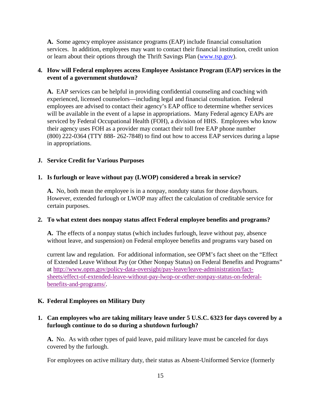**A.** Some agency employee assistance programs (EAP) include financial consultation services. In addition, employees may want to contact their financial institution, credit union or learn about their options through the Thrift Savings Plan [\(www.tsp.gov\)](http://www.tsp.gov/).

## **4. How will Federal employees access Employee Assistance Program (EAP) services in the event of a government shutdown?**

**A.** EAP services can be helpful in providing confidential counseling and coaching with experienced, licensed counselors—including legal and financial consultation. Federal employees are advised to contact their agency's EAP office to determine whether services will be available in the event of a lapse in appropriations. Many Federal agency EAPs are serviced by Federal Occupational Health (FOH), a division of HHS. Employees who know their agency uses FOH as a provider may contact their toll free EAP phone number (800) 222-0364 (TTY 888- 262-7848) to find out how to access EAP services during a lapse in appropriations.

#### <span id="page-17-0"></span>**J. Service Credit for Various Purposes**

#### **1. Is furlough or leave without pay (LWOP) considered a break in service?**

**A.** No, both mean the employee is in a nonpay, nonduty status for those days/hours. However, extended furlough or LWOP may affect the calculation of creditable service for certain purposes.

#### **2. To what extent does nonpay status affect Federal employee benefits and programs?**

**A.** The effects of a nonpay status (which includes furlough, leave without pay, absence without leave, and suspension) on Federal employee benefits and programs vary based on

current law and regulation. For additional information, see OPM's fact sheet on the "Effect of Extended Leave Without Pay (or Other Nonpay Status) on Federal Benefits and Programs" at [http://www.opm.gov/policy-data-oversight/pay-leave/leave-administration/fact](http://www.opm.gov/policy-data-oversight/pay-leave/leave-administration/fact-sheets/effect-of-extended-leave-without-pay-lwop-or-other-nonpay-status-on-federal-benefits-and-programs/)[sheets/effect-of-extended-leave-without-pay-lwop-or-other-nonpay-status-on-federal](http://www.opm.gov/policy-data-oversight/pay-leave/leave-administration/fact-sheets/effect-of-extended-leave-without-pay-lwop-or-other-nonpay-status-on-federal-benefits-and-programs/)[benefits-and-programs/.](http://www.opm.gov/policy-data-oversight/pay-leave/leave-administration/fact-sheets/effect-of-extended-leave-without-pay-lwop-or-other-nonpay-status-on-federal-benefits-and-programs/)

#### <span id="page-17-1"></span>**K. Federal Employees on Military Duty**

## **1. Can employees who are taking military leave under 5 U.S.C. 6323 for days covered by a furlough continue to do so during a shutdown furlough?**

**A.** No. As with other types of paid leave, paid military leave must be canceled for days covered by the furlough.

For employees on active military duty, their status as Absent-Uniformed Service (formerly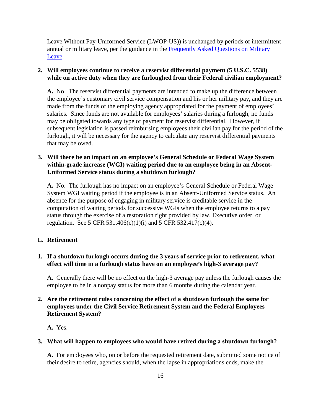Leave Without Pay-Uniformed Service (LWOP-US)) is unchanged by periods of intermittent [annual or military leave, per the guidance in the](http://www.opm.gov/faqs/topic/payleave/index.aspx?cid=f24794b1-dc27-41d8-b4e0-255cefc2c817) Frequently Asked Questions on Military Leave.

# **2. Will employees continue to receive a reservist differential payment (5 U.S.C. 5538) while on active duty when they are furloughed from their Federal civilian employment?**

**A.** No. The reservist differential payments are intended to make up the difference between the employee's customary civil service compensation and his or her military pay, and they are made from the funds of the employing agency appropriated for the payment of employees' salaries. Since funds are not available for employees' salaries during a furlough, no funds may be obligated towards any type of payment for reservist differential. However, if subsequent legislation is passed reimbursing employees their civilian pay for the period of the furlough, it will be necessary for the agency to calculate any reservist differential payments that may be owed.

# **3. Will there be an impact on an employee's General Schedule or Federal Wage System within-grade increase (WGI) waiting period due to an employee being in an Absent-Uniformed Service status during a shutdown furlough?**

**A.** No. The furlough has no impact on an employee's General Schedule or Federal Wage System WGI waiting period if the employee is in an Absent-Uniformed Service status. An absence for the purpose of engaging in military service is creditable service in the computation of waiting periods for successive WGIs when the employee returns to a pay status through the exercise of a restoration right provided by law, Executive order, or regulation. See 5 CFR 531.406(c)(1)(i) and 5 CFR 532.417(c)(4).

# <span id="page-18-0"></span>**L. Retirement**

# **1. If a shutdown furlough occurs during the 3 years of service prior to retirement, what effect will time in a furlough status have on an employee's high-3 average pay?**

**A.** Generally there will be no effect on the high-3 average pay unless the furlough causes the employee to be in a nonpay status for more than 6 months during the calendar year.

# **2. Are the retirement rules concerning the effect of a shutdown furlough the same for employees under the Civil Service Retirement System and the Federal Employees Retirement System?**

**A.** Yes.

# **3. What will happen to employees who would have retired during a shutdown furlough?**

**A.** For employees who, on or before the requested retirement date, submitted some notice of their desire to retire, agencies should, when the lapse in appropriations ends, make the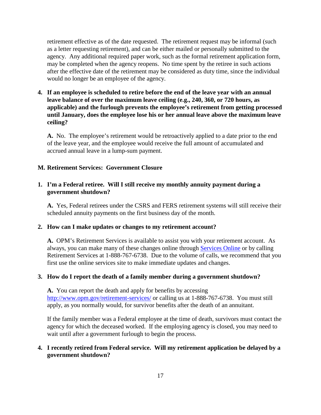retirement effective as of the date requested. The retirement request may be informal (such as a letter requesting retirement), and can be either mailed or personally submitted to the agency. Any additional required paper work, such as the formal retirement application form, may be completed when the agency reopens. No time spent by the retiree in such actions after the effective date of the retirement may be considered as duty time, since the individual would no longer be an employee of the agency.

**4. If an employee is scheduled to retire before the end of the leave year with an annual leave balance of over the maximum leave ceiling (e.g., 240, 360, or 720 hours, as applicable) and the furlough prevents the employee's retirement from getting processed until January, does the employee lose his or her annual leave above the maximum leave ceiling?**

**A.** No. The employee's retirement would be retroactively applied to a date prior to the end of the leave year, and the employee would receive the full amount of accumulated and accrued annual leave in a lump-sum payment.

#### <span id="page-19-0"></span>**M. Retirement Services: Government Closure**

# **1. I'm a Federal retiree. Will I still receive my monthly annuity payment during a government shutdown?**

**A.** Yes, Federal retirees under the CSRS and FERS retirement systems will still receive their scheduled annuity payments on the first business day of the month.

#### **2. How can I make updates or changes to my retirement account?**

**A.** OPM's Retirement Services is available to assist you with your retirement account. As always, you can make many of these changes online through [Services Online](https://www.servicesonline.opm.gov/) or by calling Retirement Services at 1-888-767-6738. Due to the volume of calls, we recommend that you first use the online services site to make immediate updates and changes.

#### **3. How do I report the death of a family member during a government shutdown?**

**A.** You can report the death and apply for benefits by accessing <http://www.opm.gov/retirement-services/>or calling us at 1-888-767-6738. You must still apply, as you normally would, for survivor benefits after the death of an annuitant.

If the family member was a Federal employee at the time of death, survivors must contact the agency for which the deceased worked. If the employing agency is closed, you may need to wait until after a government furlough to begin the process.

## **4. I recently retired from Federal service. Will my retirement application be delayed by a government shutdown?**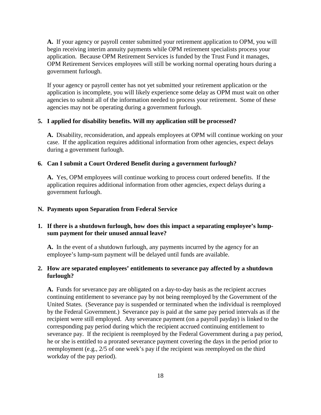**A.** If your agency or payroll center submitted your retirement application to OPM, you will begin receiving interim annuity payments while OPM retirement specialists process your application. Because OPM Retirement Services is funded by the Trust Fund it manages, OPM Retirement Services employees will still be working normal operating hours during a government furlough.

If your agency or payroll center has not yet submitted your retirement application or the application is incomplete, you will likely experience some delay as OPM must wait on other agencies to submit all of the information needed to process your retirement. Some of these agencies may not be operating during a government furlough.

#### **5. I applied for disability benefits. Will my application still be processed?**

**A.** Disability, reconsideration, and appeals employees at OPM will continue working on your case. If the application requires additional information from other agencies, expect delays during a government furlough.

#### **6. Can I submit a Court Ordered Benefit during a government furlough?**

**A.** Yes, OPM employees will continue working to process court ordered benefits. If the application requires additional information from other agencies, expect delays during a government furlough.

#### <span id="page-20-0"></span>**N. Payments upon Separation from Federal Service**

# **1. If there is a shutdown furlough, how does this impact a separating employee's lumpsum payment for their unused annual leave?**

**A.** In the event of a shutdown furlough, any payments incurred by the agency for an employee's lump-sum payment will be delayed until funds are available.

#### **2. How are separated employees' entitlements to severance pay affected by a shutdown furlough?**

**A.** Funds for severance pay are obligated on a day-to-day basis as the recipient accrues continuing entitlement to severance pay by not being reemployed by the Government of the United States. (Severance pay is suspended or terminated when the individual is reemployed by the Federal Government.) Severance pay is paid at the same pay period intervals as if the recipient were still employed. Any severance payment (on a payroll payday) is linked to the corresponding pay period during which the recipient accrued continuing entitlement to severance pay. If the recipient is reemployed by the Federal Government during a pay period, he or she is entitled to a prorated severance payment covering the days in the period prior to reemployment (e.g., 2/5 of one week's pay if the recipient was reemployed on the third workday of the pay period).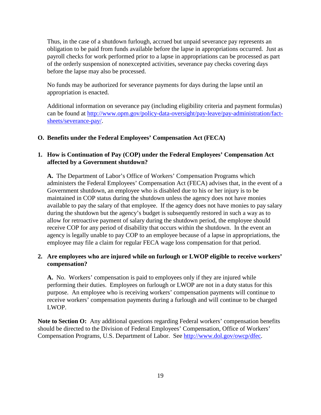Thus, in the case of a shutdown furlough, accrued but unpaid severance pay represents an obligation to be paid from funds available before the lapse in appropriations occurred. Just as payroll checks for work performed prior to a lapse in appropriations can be processed as part of the orderly suspension of nonexcepted activities, severance pay checks covering days before the lapse may also be processed.

No funds may be authorized for severance payments for days during the lapse until an appropriation is enacted.

Additional information on severance pay (including eligibility criteria and payment formulas) can be found at [http://www.opm.gov/policy-data-oversight/pay-leave/pay-administration/fact](http://www.opm.gov/policy-data-oversight/pay-leave/pay-administration/fact-sheets/severance-pay/)[sheets/severance-pay/.](http://www.opm.gov/policy-data-oversight/pay-leave/pay-administration/fact-sheets/severance-pay/)

## <span id="page-21-0"></span>**O. Benefits under the Federal Employees' Compensation Act (FECA)**

# **1. How is Continuation of Pay (COP) under the Federal Employees' Compensation Act affected by a Government shutdown?**

**A.** The Department of Labor's Office of Workers' Compensation Programs which administers the Federal Employees' Compensation Act (FECA) advises that, in the event of a Government shutdown, an employee who is disabled due to his or her injury is to be maintained in COP status during the shutdown unless the agency does not have monies available to pay the salary of that employee. If the agency does not have monies to pay salary during the shutdown but the agency's budget is subsequently restored in such a way as to allow for retroactive payment of salary during the shutdown period, the employee should receive COP for any period of disability that occurs within the shutdown. In the event an agency is legally unable to pay COP to an employee because of a lapse in appropriations, the employee may file a claim for regular FECA wage loss compensation for that period.

# **2. Are employees who are injured while on furlough or LWOP eligible to receive workers' compensation?**

**A.** No. Workers' compensation is paid to employees only if they are injured while performing their duties. Employees on furlough or LWOP are not in a duty status for this purpose. An employee who is receiving workers' compensation payments will continue to receive workers' compensation payments during a furlough and will continue to be charged LWOP.

**Note to Section O:** Any additional questions regarding Federal workers' compensation benefits should be directed to the Division of Federal Employees' Compensation, Office of Workers' Compensation Programs, U.S. Department of Labor. See [http://www.dol.gov/owcp/dfec.](http://www.dol.gov/owcp/dfec)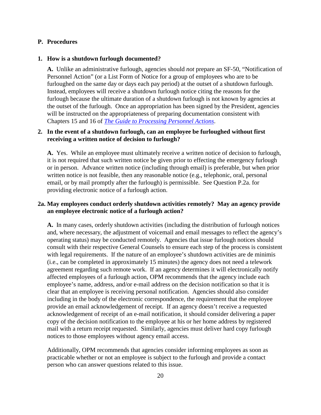#### <span id="page-22-0"></span>**P. Procedures**

#### **1. How is a shutdown furlough documented?**

**A.** Unlike an administrative furlough, agencies should *not* prepare an SF-50, "Notification of Personnel Action" (or a List Form of Notice for a group of employees who are to be furloughed on the same day or days each pay period) at the outset of a shutdown furlough. Instead, employees will receive a shutdown furlough notice citing the reasons for the furlough because the ultimate duration of a shutdown furlough is not known by agencies at the outset of the furlough. Once an appropriation has been signed by the President, agencies will be instructed on the appropriateness of preparing documentation consistent with Chapters 15 and 16 of *[The Guide to Processing Personnel Actions](http://www.opm.gov/policy-data-oversight/data-analysis-documentation/personnel-documentation/#url=Processing-Personnel-Actions)*.

#### **2. In the event of a shutdown furlough, can an employee be furloughed without first receiving a written notice of decision to furlough?**

**A.** Yes.While an employee must ultimately receive a written notice of decision to furlough, it is not required that such written notice be given prior to effecting the emergency furlough or in person. Advance written notice (including through email) is preferable, but when prior written notice is not feasible, then any reasonable notice (e.g., telephonic, oral, personal email, or by mail promptly after the furlough) is permissible. See Question P.2a. for providing electronic notice of a furlough action.

# **2a. May employees conduct orderly shutdown activities remotely? May an agency provide an employee electronic notice of a furlough action?**

**A.** In many cases, orderly shutdown activities (including the distribution of furlough notices and, where necessary, the adjustment of voicemail and email messages to reflect the agency's operating status) may be conducted remotely. Agencies that issue furlough notices should consult with their respective General Counsels to ensure each step of the process is consistent with legal requirements. If the nature of an employee's shutdown activities are de minimis (i.e., can be completed in approximately 15 minutes) the agency does not need a telework agreement regarding such remote work. If an agency determines it will electronically notify affected employees of a furlough action, OPM recommends that the agency include each employee's name, address, and/or e-mail address on the decision notification so that it is clear that an employee is receiving personal notification. Agencies should also consider including in the body of the electronic correspondence, the requirement that the employee provide an email acknowledgement of receipt. If an agency doesn't receive a requested acknowledgement of receipt of an e-mail notification, it should consider delivering a paper copy of the decision notification to the employee at his or her home address by registered mail with a return receipt requested. Similarly, agencies must deliver hard copy furlough notices to those employees without agency email access.

Additionally, OPM recommends that agencies consider informing employees as soon as practicable whether or not an employee is subject to the furlough and provide a contact person who can answer questions related to this issue.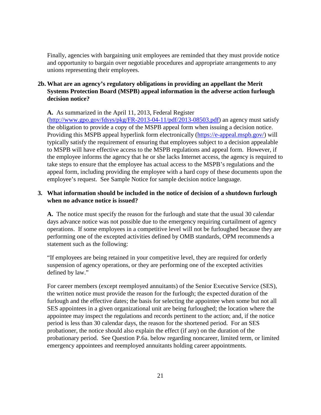Finally, agencies with bargaining unit employees are reminded that they must provide notice and opportunity to bargain over negotiable procedures and appropriate arrangements to any unions representing their employees.

# **2b. What are an agency's regulatory obligations in providing an appellant the Merit Systems Protection Board (MSPB) appeal information in the adverse action furlough decision notice?**

**A.** As summarized in the April 11, 2013, Federal Register

 $(\text{http://www.gpo.gov/fdsys/bkg/FR-2013-04-11/bdf/2013-08503.pdf})$  an agency must satisfy the obligation to provide a copy of the MSPB appeal form when issuing a decision notice. Providing this MSPB appeal hyperlink form electronically [\(https://e-appeal.mspb.gov/\)](https://e-appeal.mspb.gov/) will typically satisfy the requirement of ensuring that employees subject to a decision appealable to MSPB will have effective access to the MSPB regulations and appeal form. However, if the employee informs the agency that he or she lacks Internet access, the agency is required to take steps to ensure that the employee has actual access to the MSPB's regulations and the appeal form, including providing the employee with a hard copy of these documents upon the employee's request. See Sample Notice for sample decision notice language.

# **3. What information should be included in the notice of decision of a shutdown furlough when no advance notice is issued?**

**A.** The notice must specify the reason for the furlough and state that the usual 30 calendar days advance notice was not possible due to the emergency requiring curtailment of agency operations. If some employees in a competitive level will not be furloughed because they are performing one of the excepted activities defined by OMB standards, OPM recommends a statement such as the following:

"If employees are being retained in your competitive level, they are required for orderly suspension of agency operations, or they are performing one of the excepted activities defined by law."

For career members (except reemployed annuitants) of the Senior Executive Service (SES), the written notice must provide the reason for the furlough; the expected duration of the furlough and the effective dates; the basis for selecting the appointee when some but not all SES appointees in a given organizational unit are being furloughed; the location where the appointee may inspect the regulations and records pertinent to the action; and, if the notice period is less than 30 calendar days, the reason for the shortened period. For an SES probationer, the notice should also explain the effect (if any) on the duration of the probationary period. See Question P.6a. below regarding noncareer, limited term, or limited emergency appointees and reemployed annuitants holding career appointments.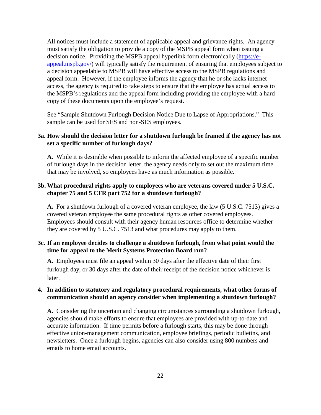All notices must include a statement of applicable appeal and grievance rights. An agency must satisfy the obligation to provide a copy of the MSPB appeal form when issuing a decision notice. Providing the MSPB appeal hyperlink form electronically [\(https://e](https://e-appeal.mspb.gov/)[appeal.mspb.gov/\)](https://e-appeal.mspb.gov/) will typically satisfy the requirement of ensuring that employees subject to a decision appealable to MSPB will have effective access to the MSPB regulations and appeal form. However, if the employee informs the agency that he or she lacks internet access, the agency is required to take steps to ensure that the employee has actual access to the MSPB's regulations and the appeal form including providing the employee with a hard copy of these documents upon the employee's request.

See "Sample Shutdown Furlough Decision Notice Due to Lapse of Appropriations." This sample can be used for SES and non-SES employees.

## **3a. How should the decision letter for a shutdown furlough be framed if the agency has not set a specific number of furlough days?**

**A**. While it is desirable when possible to inform the affected employee of a specific number of furlough days in the decision letter, the agency needs only to set out the maximum time that may be involved, so employees have as much information as possible.

# **3b. What procedural rights apply to employees who are veterans covered under 5 U.S.C. chapter 75 and 5 CFR part 752 for a shutdown furlough?**

**A.** For a shutdown furlough of a covered veteran employee, the law (5 U.S.C. 7513) gives a covered veteran employee the same procedural rights as other covered employees. Employees should consult with their agency human resources office to determine whether they are covered by 5 U.S.C. 7513 and what procedures may apply to them.

# **3c. If an employee decides to challenge a shutdown furlough, from what point would the time for appeal to the Merit Systems Protection Board run?**

**A**. Employees must file an appeal within 30 days after the effective date of their first furlough day, or 30 days after the date of their receipt of the decision notice whichever is later.

## **4. In addition to statutory and regulatory procedural requirements, what other forms of communication should an agency consider when implementing a shutdown furlough?**

**A.** Considering the uncertain and changing circumstances surrounding a shutdown furlough, agencies should make efforts to ensure that employees are provided with up-to-date and accurate information. If time permits before a furlough starts, this may be done through effective union-management communication, employee briefings, periodic bulletins, and newsletters. Once a furlough begins, agencies can also consider using 800 numbers and emails to home email accounts.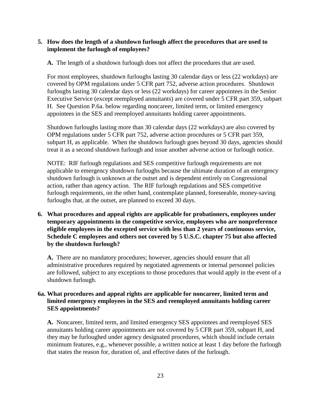## **5. How does the length of a shutdown furlough affect the procedures that are used to implement the furlough of employees?**

**A.** The length of a shutdown furlough does not affect the procedures that are used.

For most employees, shutdown furloughs lasting 30 calendar days or less (22 workdays) are covered by OPM regulations under 5 CFR part 752, adverse action procedures. Shutdown furloughs lasting 30 calendar days or less (22 workdays) for career appointees in the Senior Executive Service (except reemployed annuitants) are covered under 5 CFR part 359, subpart H. See Question P.6a. below regarding noncareer, limited term, or limited emergency appointees in the SES and reemployed annuitants holding career appointments.

Shutdown furloughs lasting more than 30 calendar days (22 workdays) are also covered by OPM regulations under 5 CFR part 752, adverse action procedures or 5 CFR part 359, subpart H, as applicable. When the shutdown furlough goes beyond 30 days, agencies should treat it as a second shutdown furlough and issue another adverse action or furlough notice.

NOTE: RIF furlough regulations and SES competitive furlough requirements are not applicable to emergency shutdown furloughs because the ultimate duration of an emergency shutdown furlough is unknown at the outset and is dependent entirely on Congressional action, rather than agency action. The RIF furlough regulations and SES competitive furlough requirements, on the other hand, contemplate planned, foreseeable, money-saving furloughs that, at the outset, are planned to exceed 30 days.

**6. What procedures and appeal rights are applicable for probationers, employees under temporary appointments in the competitive service, employees who are nonpreference eligible employees in the excepted service with less than 2 years of continuous service, Schedule C employees and others not covered by 5 U.S.C. chapter 75 but also affected by the shutdown furlough?**

**A.** There are no mandatory procedures; however, agencies should ensure that all administrative procedures required by negotiated agreements or internal personnel policies are followed, subject to any exceptions to those procedures that would apply in the event of a shutdown furlough.

# **6a. What procedures and appeal rights are applicable for noncareer, limited term and limited emergency employees in the SES and reemployed annuitants holding career SES appointments?**

**A.** Noncareer, limited term, and limited emergency SES appointees and reemployed SES annuitants holding career appointments are not covered by 5 CFR part 359, subpart H, and they may be furloughed under agency designated procedures, which should include certain minimum features, e.g., whenever possible, a written notice at least 1 day before the furlough that states the reason for, duration of, and effective dates of the furlough.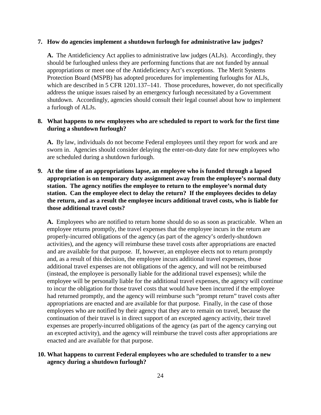#### **7. How do agencies implement a shutdown furlough for administrative law judges?**

**A.** The Antideficiency Act applies to administrative law judges (ALJs). Accordingly, they should be furloughed unless they are performing functions that are not funded by annual appropriations or meet one of the Antideficiency Act's exceptions. The Merit Systems Protection Board (MSPB) has adopted procedures for implementing furloughs for ALJs, which are described in 5 CFR 1201.137–141. Those procedures, however, do not specifically address the unique issues raised by an emergency furlough necessitated by a Government shutdown. Accordingly, agencies should consult their legal counsel about how to implement a furlough of ALJs.

#### **8. What happens to new employees who are scheduled to report to work for the first time during a shutdown furlough?**

**A.** By law, individuals do not become Federal employees until they report for work and are sworn in. Agencies should consider delaying the enter-on-duty date for new employees who are scheduled during a shutdown furlough.

**9. At the time of an appropriations lapse, an employee who is funded through a lapsed appropriation is on temporary duty assignment away from the employee's normal duty station. The agency notifies the employee to return to the employee's normal duty station. Can the employee elect to delay the return? If the employees decides to delay the return, and as a result the employee incurs additional travel costs, who is liable for those additional travel costs?**

**A.** Employees who are notified to return home should do so as soon as practicable. When an employee returns promptly, the travel expenses that the employee incurs in the return are properly-incurred obligations of the agency (as part of the agency's orderly-shutdown activities), and the agency will reimburse these travel costs after appropriations are enacted and are available for that purpose. If, however, an employee elects not to return promptly and, as a result of this decision, the employee incurs additional travel expenses, those additional travel expenses are not obligations of the agency, and will not be reimbursed (instead, the employee is personally liable for the additional travel expenses); while the employee will be personally liable for the additional travel expenses, the agency will continue to incur the obligation for those travel costs that would have been incurred if the employee had returned promptly, and the agency will reimburse such "prompt return" travel costs after appropriations are enacted and are available for that purpose. Finally, in the case of those employees who are notified by their agency that they are to remain on travel, because the continuation of their travel is in direct support of an excepted agency activity, their travel expenses are properly-incurred obligations of the agency (as part of the agency carrying out an excepted activity), and the agency will reimburse the travel costs after appropriations are enacted and are available for that purpose.

# **10. What happens to current Federal employees who are scheduled to transfer to a new agency during a shutdown furlough?**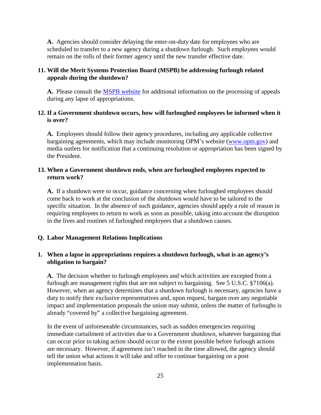**A.** Agencies should consider delaying the enter-on-duty date for employees who are scheduled to transfer to a new agency during a shutdown furlough. Such employees would remain on the rolls of their former agency until the new transfer effective date.

## **11. Will the Merit Systems Protection Board (MSPB) be addressing furlough related appeals during the shutdown?**

**A.** Please consult the [MSPB website](http://www.mspb.gov/) for additional information on the processing of appeals during any lapse of appropriations.

# **12. If a Government shutdown occurs, how will furloughed employees be informed when it is over?**

**A.** Employees should follow their agency procedures, including any applicable collective bargaining agreements, which may include monitoring OPM's website [\(www.opm.gov\)](http://www.opm.gov/) and media outlets for notification that a continuing resolution or appropriation has been signed by the President.

#### **13. When a Government shutdown ends, when are furloughed employees expected to return work?**

**A.** If a shutdown were to occur, guidance concerning when furloughed employees should come back to work at the conclusion of the shutdown would have to be tailored to the specific situation. In the absence of such guidance, agencies should apply a rule of reason in requiring employees to return to work as soon as possible, taking into account the disruption in the lives and routines of furloughed employees that a shutdown causes.

#### <span id="page-27-0"></span>**Q. Labor Management Relations Implications**

## **1. When a lapse in appropriations requires a shutdown furlough, what is an agency's obligation to bargain?**

**A.** The decision whether to furlough employees and which activities are excepted from a furlough are management rights that are not subject to bargaining. See 5 U.S.C. §7106(a). However, when an agency determines that a shutdown furlough is necessary, agencies have a duty to notify their exclusive representatives and, upon request, bargain over any negotiable impact and implementation proposals the union may submit, unless the matter of furloughs is already "covered by" a collective bargaining agreement.

In the event of unforeseeable circumstances, such as sudden emergencies requiring immediate curtailment of activities due to a Government shutdown, whatever bargaining that can occur prior to taking action should occur to the extent possible before furlough actions are necessary. However, if agreement isn't reached in the time allowed, the agency should tell the union what actions it will take and offer to continue bargaining on a post implementation basis.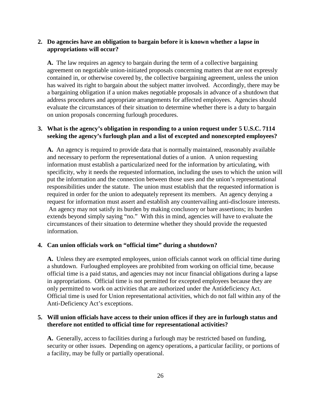## **2. Do agencies have an obligation to bargain before it is known whether a lapse in appropriations will occur?**

**A.** The law requires an agency to bargain during the term of a collective bargaining agreement on negotiable union-initiated proposals concerning matters that are not expressly contained in, or otherwise covered by, the collective bargaining agreement, unless the union has waived its right to bargain about the subject matter involved. Accordingly, there may be a bargaining obligation if a union makes negotiable proposals in advance of a shutdown that address procedures and appropriate arrangements for affected employees. Agencies should evaluate the circumstances of their situation to determine whether there is a duty to bargain on union proposals concerning furlough procedures.

# **3. What is the agency's obligation in responding to a union request under 5 U.S.C. 7114 seeking the agency's furlough plan and a list of excepted and nonexcepted employees?**

**A.** An agency is required to provide data that is normally maintained, reasonably available and necessary to perform the representational duties of a union. A union requesting information must establish a particularized need for the information by articulating, with specificity, why it needs the requested information, including the uses to which the union will put the information and the connection between those uses and the union's representational responsibilities under the statute. The union must establish that the requested information is required in order for the union to adequately represent its members. An agency denying a request for information must assert and establish any countervailing anti-disclosure interests. An agency may not satisfy its burden by making conclusory or bare assertions; its burden extends beyond simply saying "no." With this in mind, agencies will have to evaluate the circumstances of their situation to determine whether they should provide the requested information.

## **4. Can union officials work on "official time" during a shutdown?**

**A.** Unless they are exempted employees, union officials cannot work on official time during a shutdown. Furloughed employees are prohibited from working on official time, because official time is a paid status, and agencies may not incur financial obligations during a lapse in appropriations. Official time is not permitted for excepted employees because they are only permitted to work on activities that are authorized under the Antideficiency Act. Official time is used for Union representational activities, which do not fall within any of the Anti-Deficiency Act's exceptions.

## **5. Will union officials have access to their union offices if they are in furlough status and therefore not entitled to official time for representational activities?**

**A.** Generally, access to facilities during a furlough may be restricted based on funding, security or other issues. Depending on agency operations, a particular facility, or portions of a facility, may be fully or partially operational.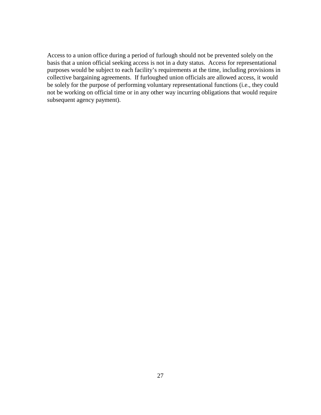Access to a union office during a period of furlough should not be prevented solely on the basis that a union official seeking access is not in a duty status. Access for representational purposes would be subject to each facility's requirements at the time, including provisions in collective bargaining agreements. If furloughed union officials are allowed access, it would be solely for the purpose of performing voluntary representational functions (i.e., they could not be working on official time or in any other way incurring obligations that would require subsequent agency payment).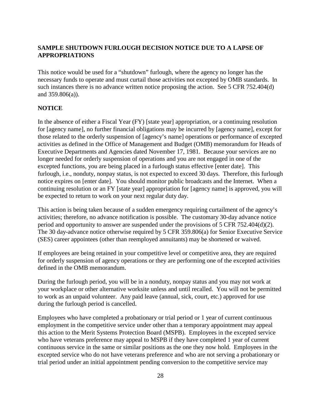# <span id="page-30-0"></span>**SAMPLE SHUTDOWN FURLOUGH DECISION NOTICE DUE TO A LAPSE OF APPROPRIATIONS**

This notice would be used for a "shutdown" furlough, where the agency no longer has the necessary funds to operate and must curtail those activities not excepted by OMB standards. In such instances there is no advance written notice proposing the action. See 5 CFR 752.404(d) and 359.806(a)).

#### **NOTICE**

In the absence of either a Fiscal Year (FY) [state year] appropriation, or a continuing resolution for [agency name], no further financial obligations may be incurred by [agency name], except for those related to the orderly suspension of [agency's name] operations or performance of excepted activities as defined in the Office of Management and Budget (OMB) memorandum for Heads of Executive Departments and Agencies dated November 17, 1981. Because your services are no longer needed for orderly suspension of operations and you are not engaged in one of the excepted functions, you are being placed in a furlough status effective [enter date]. This furlough, i.e., nonduty, nonpay status, is not expected to exceed 30 days. Therefore, this furlough notice expires on [enter date]. You should monitor public broadcasts and the Internet. When a continuing resolution or an FY [state year] appropriation for [agency name] is approved, you will be expected to return to work on your next regular duty day.

This action is being taken because of a sudden emergency requiring curtailment of the agency's activities; therefore, no advance notification is possible. The customary 30-day advance notice period and opportunity to answer are suspended under the provisions of 5 CFR 752.404(d)(2). The 30 day-advance notice otherwise required by 5 CFR 359.806(a) for Senior Executive Service (SES) career appointees (other than reemployed annuitants) may be shortened or waived.

If employees are being retained in your competitive level or competitive area, they are required for orderly suspension of agency operations or they are performing one of the excepted activities defined in the OMB memorandum.

During the furlough period, you will be in a nonduty, nonpay status and you may not work at your workplace or other alternative worksite unless and until recalled. You will not be permitted to work as an unpaid volunteer. Any paid leave (annual, sick, court, etc.) approved for use during the furlough period is cancelled.

Employees who have completed a probationary or trial period or 1 year of current continuous employment in the competitive service under other than a temporary appointment may appeal this action to the Merit Systems Protection Board (MSPB). Employees in the excepted service who have veterans preference may appeal to MSPB if they have completed 1 year of current continuous service in the same or similar positions as the one they now hold. Employees in the excepted service who do not have veterans preference and who are not serving a probationary or trial period under an initial appointment pending conversion to the competitive service may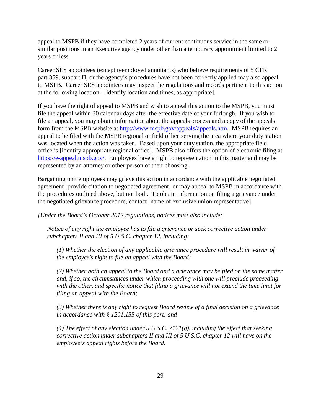appeal to MSPB if they have completed 2 years of current continuous service in the same or similar positions in an Executive agency under other than a temporary appointment limited to 2 years or less.

Career SES appointees (except reemployed annuitants) who believe requirements of 5 CFR part 359, subpart H, or the agency's procedures have not been correctly applied may also appeal to MSPB. Career SES appointees may inspect the regulations and records pertinent to this action at the following location: [identify location and times, as appropriate].

If you have the right of appeal to MSPB and wish to appeal this action to the MSPB, you must file the appeal within 30 calendar days after the effective date of your furlough. If you wish to file an appeal, you may obtain information about the appeals process and a copy of the appeals form from the MSPB website at [http://www.mspb.gov/appeals/appeals.htm.](http://www.mspb.gov/appeals/appeals.htm) MSPB requires an appeal to be filed with the MSPB regional or field office serving the area where your duty station was located when the action was taken. Based upon your duty station, the appropriate field office is [identify appropriate regional office]. MSPB also offers the option of electronic filing at [https://e-appeal.mspb.gov/.](https://e-appeal.mspb.gov/) Employees have a right to representation in this matter and may be represented by an attorney or other person of their choosing.

Bargaining unit employees may grieve this action in accordance with the applicable negotiated agreement [provide citation to negotiated agreement] or may appeal to MSPB in accordance with the procedures outlined above, but not both. To obtain information on filing a grievance under the negotiated grievance procedure, contact [name of exclusive union representative].

*[Under the Board's October 2012 regulations, notices must also include:* 

*Notice of any right the employee has to file a grievance or seek corrective action under subchapters II and III of 5 U.S.C. chapter 12, including:* 

*(1) Whether the election of any applicable grievance procedure will result in waiver of the employee's right to file an appeal with the Board;* 

*(2) Whether both an appeal to the Board and a grievance may be filed on the same matter and, if so, the circumstances under which proceeding with one will preclude proceeding with the other, and specific notice that filing a grievance will not extend the time limit for filing an appeal with the Board;* 

*(3) Whether there is any right to request Board review of a final decision on a grievance in accordance with § 1201.155 of this part; and* 

*(4) The effect of any election under 5 U.S.C. 7121(g), including the effect that seeking corrective action under subchapters II and III of 5 U.S.C. chapter 12 will have on the employee's appeal rights before the Board.*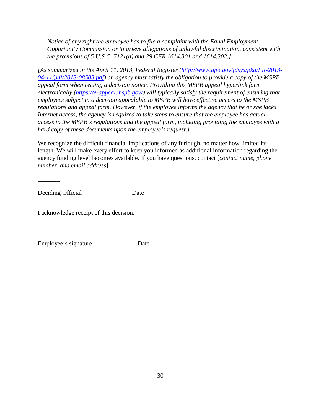*Notice of any right the employee has to file a complaint with the Equal Employment Opportunity Commission or to grieve allegations of unlawful discrimination, consistent with the provisions of 5 U.S.C. 7121(d) and 29 CFR 1614.301 and 1614.302.]* 

*[As summarized in the April 11, 2013, Federal Register [\(http://www.gpo.gov/fdsys/pkg/FR-2013-](http://www.gpo.gov/fdsys/pkg/FR-2013-04-11/pdf/2013-08503.pdf) [04-11/pdf/2013-08503.pdf\)](http://www.gpo.gov/fdsys/pkg/FR-2013-04-11/pdf/2013-08503.pdf) an agency must satisfy the obligation to provide a copy of the MSPB appeal form when issuing a decision notice. Providing this MSPB appeal hyperlink form electronically [\(https://e-appeal.mspb.gov/\)](https://e-appeal.mspb.gov/) will typically satisfy the requirement of ensuring that employees subject to a decision appealable to MSPB will have effective access to the MSPB regulations and appeal form. However, if the employee informs the agency that he or she lacks Internet access, the agency is required to take steps to ensure that the employee has actual access to the MSPB's regulations and the appeal form, including providing the employee with a hard copy of these documents upon the employee's request.]* 

We recognize the difficult financial implications of any furlough, no matter how limited its length. We will make every effort to keep you informed as additional information regarding the agency funding level becomes available. If you have questions, contact [*contact name, phone number, and email address*]

Deciding Official Date

 $\overline{\phantom{a}}$   $\overline{\phantom{a}}$ 

I acknowledge receipt of this decision.

\_\_\_\_\_\_\_\_\_\_\_\_\_\_\_\_\_\_\_\_\_\_\_ \_\_\_\_\_\_\_\_\_\_\_\_

Employee's signature Date